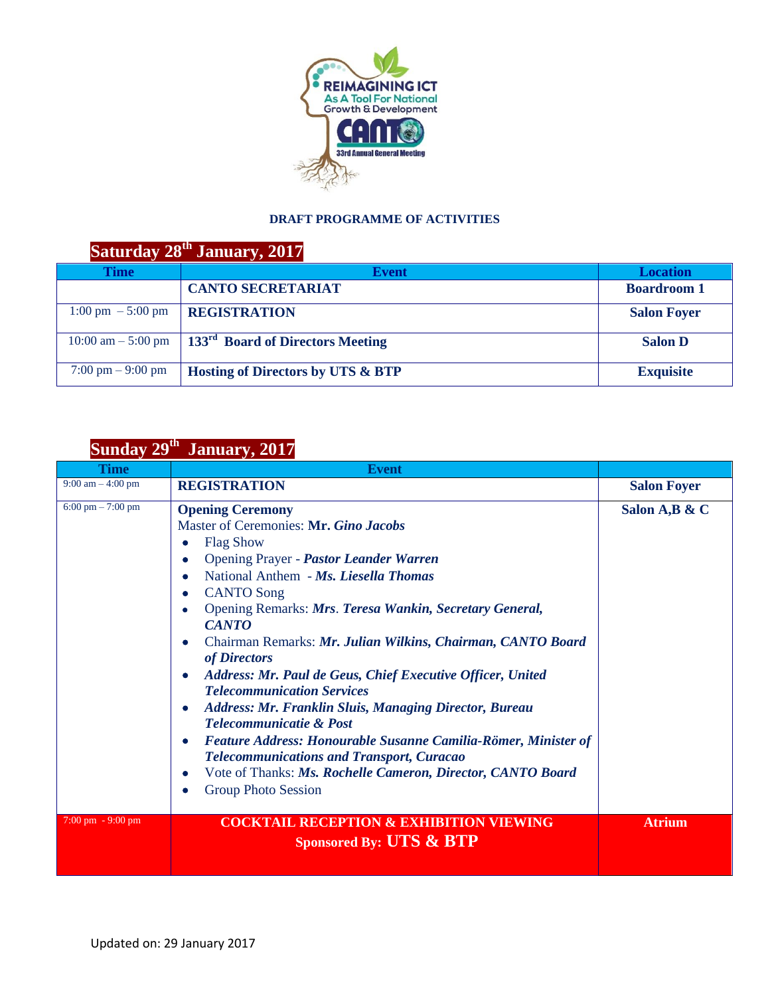

## **DRAFT PROGRAMME OF ACTIVITIES**

## **Saturday 28th January, 2017**

| Time                                 | <b>Event</b>                                                                                    | <b>Location</b>    |
|--------------------------------------|-------------------------------------------------------------------------------------------------|--------------------|
|                                      | <b>CANTO SECRETARIAT</b>                                                                        | <b>Boardroom 1</b> |
| $1:00 \text{ pm } -5:00 \text{ pm }$ | <b>REGISTRATION</b>                                                                             | <b>Salon Foyer</b> |
|                                      | $\frac{10:00 \text{ am} - 5:00 \text{ pm}}{133}$   133 <sup>rd</sup> Board of Directors Meeting | <b>Salon D</b>     |
| $7:00 \text{ pm} - 9:00 \text{ pm}$  | <b>Hosting of Directors by UTS &amp; BTP</b>                                                    | <b>Exquisite</b>   |

## **Sunday 29th January, 2017**

| <b>Time</b>                         | <b>Event</b>                                                                                                                                                                                                                                                                                                                                                                                                                                                                                                                                                                                                                                                                                                                                                                                                                                                       |                    |
|-------------------------------------|--------------------------------------------------------------------------------------------------------------------------------------------------------------------------------------------------------------------------------------------------------------------------------------------------------------------------------------------------------------------------------------------------------------------------------------------------------------------------------------------------------------------------------------------------------------------------------------------------------------------------------------------------------------------------------------------------------------------------------------------------------------------------------------------------------------------------------------------------------------------|--------------------|
| $9:00 \text{ am} - 4:00 \text{ pm}$ | <b>REGISTRATION</b>                                                                                                                                                                                                                                                                                                                                                                                                                                                                                                                                                                                                                                                                                                                                                                                                                                                | <b>Salon Foyer</b> |
| 6:00 pm $- 7:00$ pm                 | <b>Opening Ceremony</b><br>Master of Ceremonies: Mr. Gino Jacobs<br><b>Flag Show</b><br>٠<br>Opening Prayer - Pastor Leander Warren<br>٠<br>National Anthem - Ms. Liesella Thomas<br>۰<br><b>CANTO Song</b><br>۰<br>Opening Remarks: Mrs. Teresa Wankin, Secretary General,<br>۰<br><b>CANTO</b><br>Chairman Remarks: Mr. Julian Wilkins, Chairman, CANTO Board<br>۰<br>of Directors<br>Address: Mr. Paul de Geus, Chief Executive Officer, United<br>$\bullet$<br><b>Telecommunication Services</b><br><b>Address: Mr. Franklin Sluis, Managing Director, Bureau</b><br>۰<br><b>Telecommunicatie &amp; Post</b><br>Feature Address: Honourable Susanne Camilia-Römer, Minister of<br>$\bullet$<br><b>Telecommunications and Transport, Curacao</b><br>Vote of Thanks: Ms. Rochelle Cameron, Director, CANTO Board<br>$\bullet$<br><b>Group Photo Session</b><br>٠ | Salon A, B & C     |
| $7:00 \text{ pm} - 9:00 \text{ pm}$ | <b>COCKTAIL RECEPTION &amp; EXHIBITION VIEWING</b><br>Sponsored By: UTS & BTP                                                                                                                                                                                                                                                                                                                                                                                                                                                                                                                                                                                                                                                                                                                                                                                      | <b>Atrium</b>      |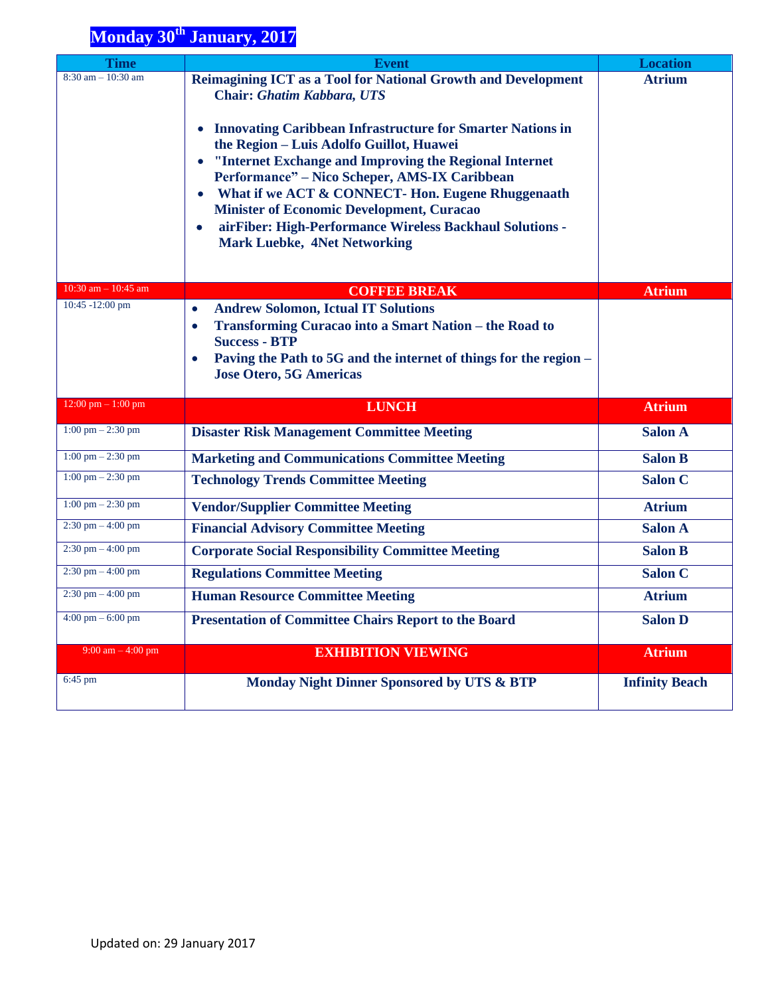## **Monday 30<sup>th</sup> January, 2017**

| <b>Time</b>                         | <b>Event</b>                                                                                                      | <b>Location</b>       |
|-------------------------------------|-------------------------------------------------------------------------------------------------------------------|-----------------------|
| $8:30$ am $-10:30$ am               | Reimagining ICT as a Tool for National Growth and Development<br><b>Chair: Ghatim Kabbara, UTS</b>                | <b>Atrium</b>         |
|                                     | <b>Innovating Caribbean Infrastructure for Smarter Nations in</b><br>the Region - Luis Adolfo Guillot, Huawei     |                       |
|                                     | • "Internet Exchange and Improving the Regional Internet<br>Performance" - Nico Scheper, AMS-IX Caribbean         |                       |
|                                     | What if we ACT & CONNECT-Hon. Eugene Rhuggenaath<br>$\bullet$<br><b>Minister of Economic Development, Curacao</b> |                       |
|                                     | airFiber: High-Performance Wireless Backhaul Solutions -<br>$\bullet$<br><b>Mark Luebke, 4Net Networking</b>      |                       |
| 10:30 am $-$ 10:45 am               | <b>COFFEE BREAK</b>                                                                                               | <b>Atrium</b>         |
| 10:45 -12:00 pm                     | <b>Andrew Solomon, Ictual IT Solutions</b><br>$\bullet$                                                           |                       |
|                                     | Transforming Curacao into a Smart Nation - the Road to<br>$\bullet$                                               |                       |
|                                     | <b>Success - BTP</b>                                                                                              |                       |
|                                     | Paving the Path to 5G and the internet of things for the region -<br>$\bullet$                                    |                       |
|                                     | <b>Jose Otero, 5G Americas</b>                                                                                    |                       |
| 12:00 pm $-1:00$ pm                 | <b>LUNCH</b>                                                                                                      | <b>Atrium</b>         |
| $1:00 \text{ pm} - 2:30 \text{ pm}$ | <b>Disaster Risk Management Committee Meeting</b>                                                                 | <b>Salon A</b>        |
| $1:00 \text{ pm} - 2:30 \text{ pm}$ | <b>Marketing and Communications Committee Meeting</b>                                                             | <b>Salon B</b>        |
| $1:00 \text{ pm} - 2:30 \text{ pm}$ | <b>Technology Trends Committee Meeting</b>                                                                        | <b>Salon C</b>        |
| $1:00 \text{ pm} - 2:30 \text{ pm}$ | <b>Vendor/Supplier Committee Meeting</b>                                                                          | <b>Atrium</b>         |
| $2:30$ pm $-4:00$ pm                | <b>Financial Advisory Committee Meeting</b>                                                                       | <b>Salon A</b>        |
| $2:30$ pm $-4:00$ pm                | <b>Corporate Social Responsibility Committee Meeting</b>                                                          | <b>Salon B</b>        |
| $2:30$ pm $-4:00$ pm                | <b>Regulations Committee Meeting</b>                                                                              | Salon C               |
| $2:30$ pm $-4:00$ pm                | <b>Human Resource Committee Meeting</b>                                                                           | <b>Atrium</b>         |
| $4:00 \text{ pm} - 6:00 \text{ pm}$ | <b>Presentation of Committee Chairs Report to the Board</b>                                                       | <b>Salon D</b>        |
| 9:00 am $-$ 4:00 pm                 | <b>EXHIBITION VIEWING</b>                                                                                         | <b>Atrium</b>         |
| $6:45$ pm                           | Monday Night Dinner Sponsored by UTS & BTP                                                                        | <b>Infinity Beach</b> |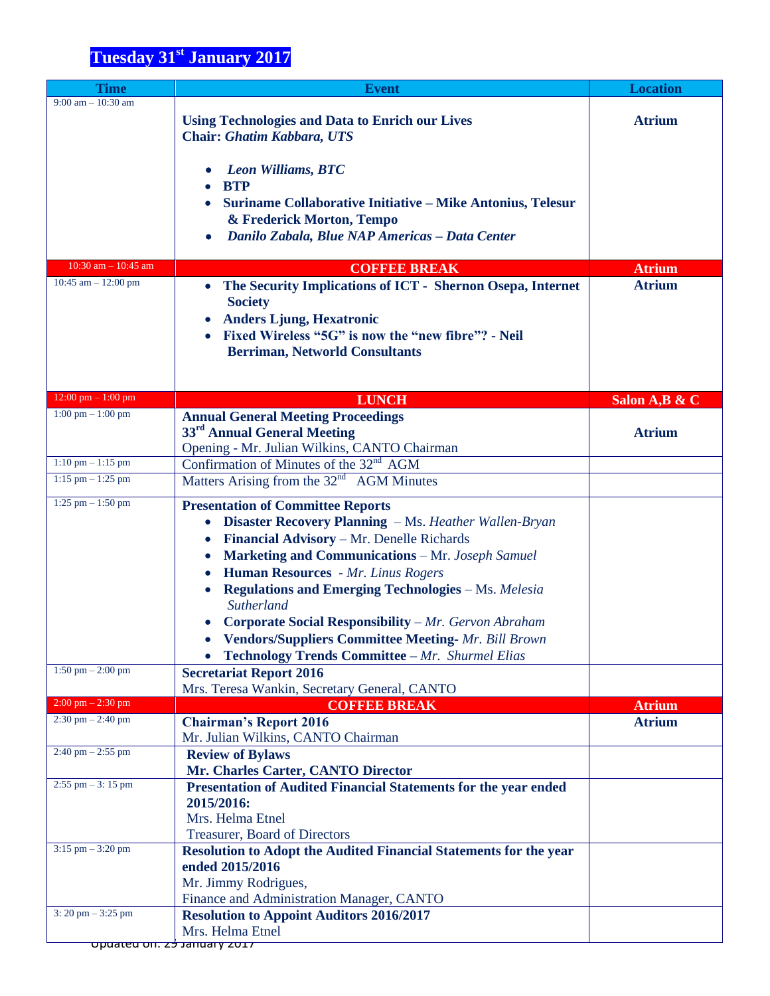| <b>Time</b>                          | <b>Event</b>                                                              | <b>Location</b> |
|--------------------------------------|---------------------------------------------------------------------------|-----------------|
| $9:00$ am $-10:30$ am                |                                                                           |                 |
|                                      | <b>Using Technologies and Data to Enrich our Lives</b>                    | <b>Atrium</b>   |
|                                      | <b>Chair: Ghatim Kabbara, UTS</b>                                         |                 |
|                                      |                                                                           |                 |
|                                      | <b>Leon Williams, BTC</b>                                                 |                 |
|                                      | <b>BTP</b>                                                                |                 |
|                                      | Suriname Collaborative Initiative - Mike Antonius, Telesur                |                 |
|                                      | & Frederick Morton, Tempo                                                 |                 |
|                                      | Danilo Zabala, Blue NAP Americas - Data Center                            |                 |
| $10:30$ am $- 10:45$ am              |                                                                           |                 |
| 10:45 am $-$ 12:00 pm                | <b>COFFEE BREAK</b>                                                       | <b>Atrium</b>   |
|                                      | The Security Implications of ICT - Shernon Osepa, Internet<br>$\bullet$   | <b>Atrium</b>   |
|                                      | <b>Society</b>                                                            |                 |
|                                      | <b>Anders Ljung, Hexatronic</b><br>$\bullet$                              |                 |
|                                      | Fixed Wireless "5G" is now the "new fibre"? - Neil                        |                 |
|                                      | <b>Berriman, Networld Consultants</b>                                     |                 |
|                                      |                                                                           |                 |
| $12:00$ pm $- 1:00$ pm               | <b>LUNCH</b>                                                              | Salon A, B & C  |
| $1:00 \text{ pm} - 1:00 \text{ pm}$  | <b>Annual General Meeting Proceedings</b>                                 |                 |
|                                      | 33 <sup>rd</sup> Annual General Meeting                                   | <b>Atrium</b>   |
|                                      | Opening - Mr. Julian Wilkins, CANTO Chairman                              |                 |
| $1:10$ pm $- 1:15$ pm                | Confirmation of Minutes of the 32 <sup>nd</sup> AGM                       |                 |
| $1:15$ pm $-1:25$ pm                 | Matters Arising from the 32 <sup>nd</sup> AGM Minutes                     |                 |
| $1:25$ pm $-1:50$ pm                 | <b>Presentation of Committee Reports</b>                                  |                 |
|                                      | <b>Disaster Recovery Planning</b> – Ms. Heather Wallen-Bryan<br>$\bullet$ |                 |
|                                      |                                                                           |                 |
|                                      | Financial Advisory - Mr. Denelle Richards                                 |                 |
|                                      | <b>Marketing and Communications</b> – Mr. Joseph Samuel<br>$\bullet$      |                 |
|                                      | Human Resources - Mr. Linus Rogers<br>$\bullet$                           |                 |
|                                      | <b>Regulations and Emerging Technologies - Ms. Melesia</b>                |                 |
|                                      | Sutherland                                                                |                 |
|                                      | Corporate Social Responsibility - Mr. Gervon Abraham                      |                 |
|                                      | • Vendors/Suppliers Committee Meeting- Mr. Bill Brown                     |                 |
|                                      | <b>Technology Trends Committee - Mr. Shurmel Elias</b>                    |                 |
| $1:50 \text{ pm} - 2:00 \text{ pm}$  | <b>Secretariat Report 2016</b>                                            |                 |
| $2:00$ pm $-2:30$ pm                 | Mrs. Teresa Wankin, Secretary General, CANTO                              |                 |
| $2:30$ pm $- 2:40$ pm                | <b>COFFEE BREAK</b>                                                       | <b>Atrium</b>   |
|                                      | <b>Chairman's Report 2016</b><br>Mr. Julian Wilkins, CANTO Chairman       | <b>Atrium</b>   |
| $2:40 \text{ pm} - 2:55 \text{ pm}$  | <b>Review of Bylaws</b>                                                   |                 |
|                                      | Mr. Charles Carter, CANTO Director                                        |                 |
| $2:55$ pm $-3:15$ pm                 | <b>Presentation of Audited Financial Statements for the year ended</b>    |                 |
|                                      | 2015/2016:                                                                |                 |
|                                      | Mrs. Helma Etnel                                                          |                 |
|                                      | <b>Treasurer, Board of Directors</b>                                      |                 |
| $3:15$ pm $-3:20$ pm                 | <b>Resolution to Adopt the Audited Financial Statements for the year</b>  |                 |
|                                      | ended 2015/2016                                                           |                 |
|                                      | Mr. Jimmy Rodrigues,                                                      |                 |
|                                      | Finance and Administration Manager, CANTO                                 |                 |
| $3: 20 \text{ pm} - 3:25 \text{ pm}$ | <b>Resolution to Appoint Auditors 2016/2017</b>                           |                 |
|                                      | Mrs. Helma Etnel                                                          |                 |
| <u> קדטש קווחומנ לכז חוט סקטע</u>    |                                                                           |                 |